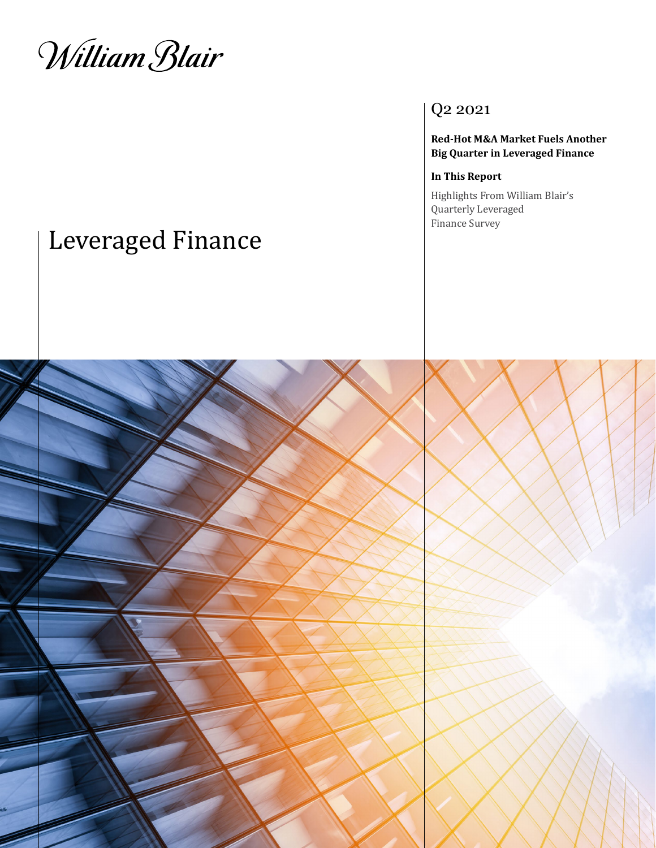William Blair

### Q2 2021

**Red-Hot M&A Market Fuels Another Big Quarter in Leveraged Finance** 

#### **In This Report**

Highlights From William Blair's Quarterly Leveraged Finance Survey

# Leveraged Finance

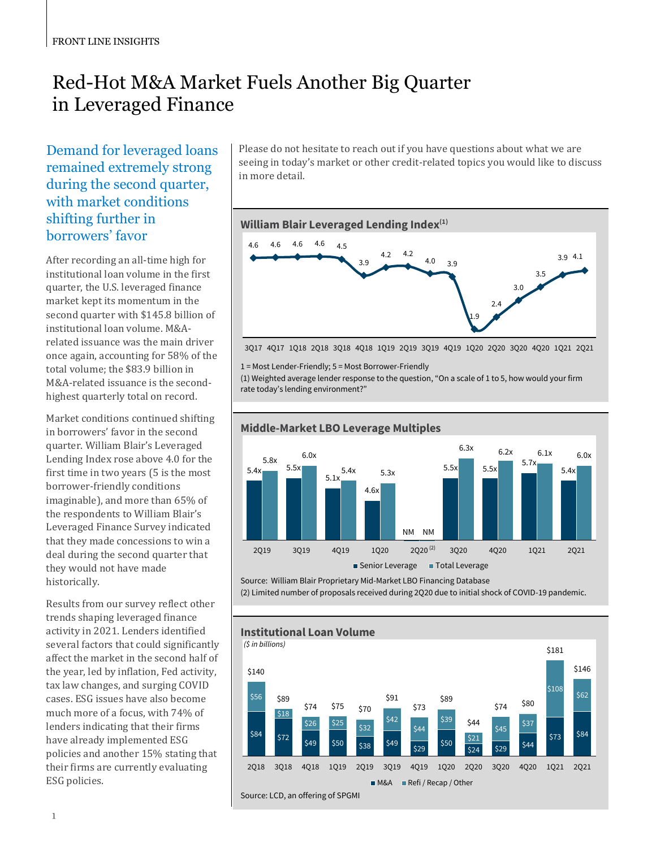## Red-Hot M&A Market Fuels Another Big Quarter in Leveraged Finance

Demand for leveraged loans remained extremely strong during the second quarter, with market conditions shifting further in borrowers' favor

After recording an all-time high for institutional loan volume in the first quarter, the U.S. leveraged finance market kept its momentum in the second quarter with \$145.8 billion of institutional loan volume. M&Arelated issuance was the main driver once again, accounting for 58% of the total volume; the \$83.9 billion in M&A-related issuance is the secondhighest quarterly total on record.

Market conditions continued shifting in borrowers' favor in the second quarter. William Blair's Leveraged Lending Index rose above 4.0 for the first time in two years (5 is the most borrower-friendly conditions imaginable), and more than 65% of the respondents to William Blair's Leveraged Finance Survey indicated that they made concessions to win a deal during the second quarter that they would not have made historically.

Results from our survey reflect other trends shaping leveraged finance activity in 2021. Lenders identified several factors that could significantly affect the market in the second half of the year, led by inflation, Fed activity, tax law changes, and surging COVID cases. ESG issues have also become much more of a focus, with 74% of lenders indicating that their firms have already implemented ESG policies and another 15% stating that their firms are currently evaluating ESG policies.

Please do not hesitate to reach out if you have questions about what we are seeing in today's market or other credit-related topics you would like to discuss in more detail.



3Q17 4Q17 1Q18 2Q18 3Q18 4Q18 1Q19 2Q19 3Q19 4Q19 1Q20 2Q20 3Q20 4Q20 1Q21 2Q21

1 = Most Lender-Friendly; 5 = Most Borrower-Friendly

(1) Weighted average lender response to the question, "On a scale of 1 to 5, how would your firm rate today's lending environment?"



Source: William Blair Proprietary Mid-Market LBO Financing Database

(2) Limited number of proposals received during 2Q20 due to initial shock of COVID-19 pandemic.

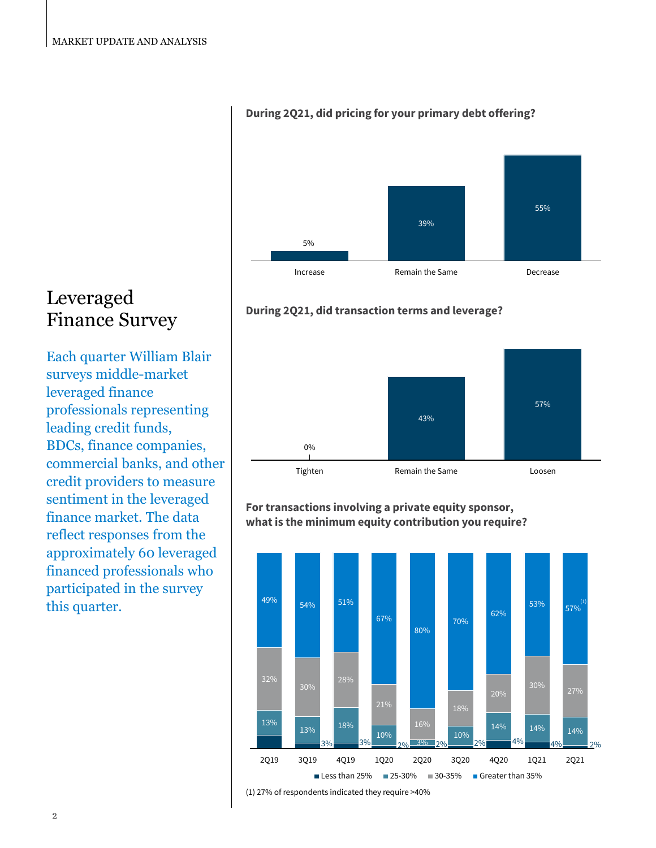# 5% 39% 55% Increase **Remain the Same** Decrease

#### **During 2Q21, did pricing for your primary debt offering?**



## Leveraged Finance Survey

Each quarter William Blair surveys middle-market leveraged finance professionals representing leading credit funds, BDCs, finance companies, commercial banks, and other credit providers to measure sentiment in the leveraged finance market. The data reflect responses from the approximately 60 leveraged financed professionals who participated in the survey this quarter.





#### **For transactions involving a private equity sponsor, what is the minimum equity contribution you require?**



(1) 27% of respondents indicated they require >40%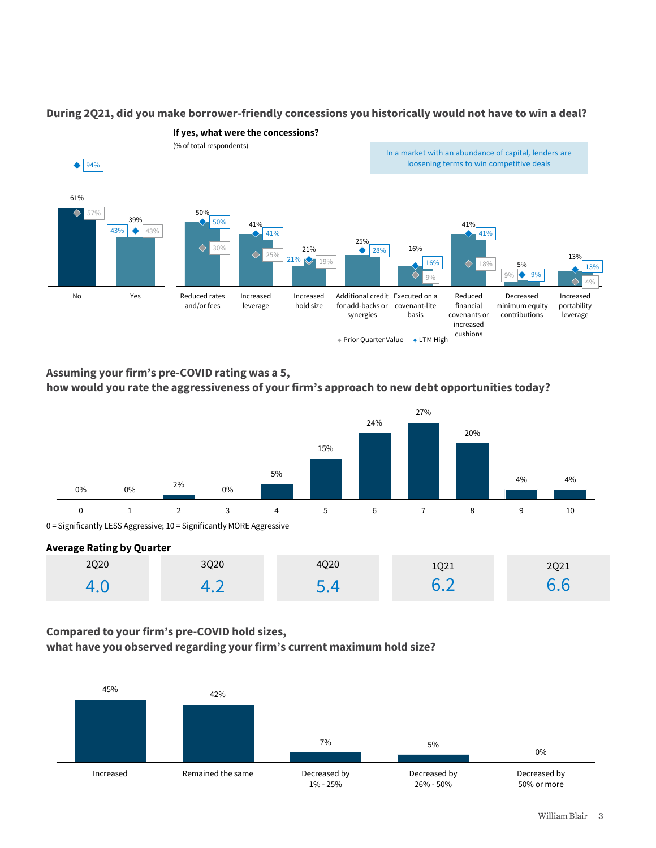

#### **During 2Q21, did you make borrower-friendly concessions you historically would not have to win a deal?**

**Assuming your firm's pre-COVID rating was a 5, how would you rate the aggressiveness of your firm's approach to new debt opportunities today?**



#### **Average Rating by Quarter**

| ___<br>___<br>2Q20 | 3Q20           | 4Q20 | 1Q21 | 2Q21 |
|--------------------|----------------|------|------|------|
|                    | $\cdot$ $\sim$ | ۱Д   | 67   | 6.6  |

#### **Compared to your firm's pre-COVID hold sizes,**

**what have you observed regarding your firm's current maximum hold size?**

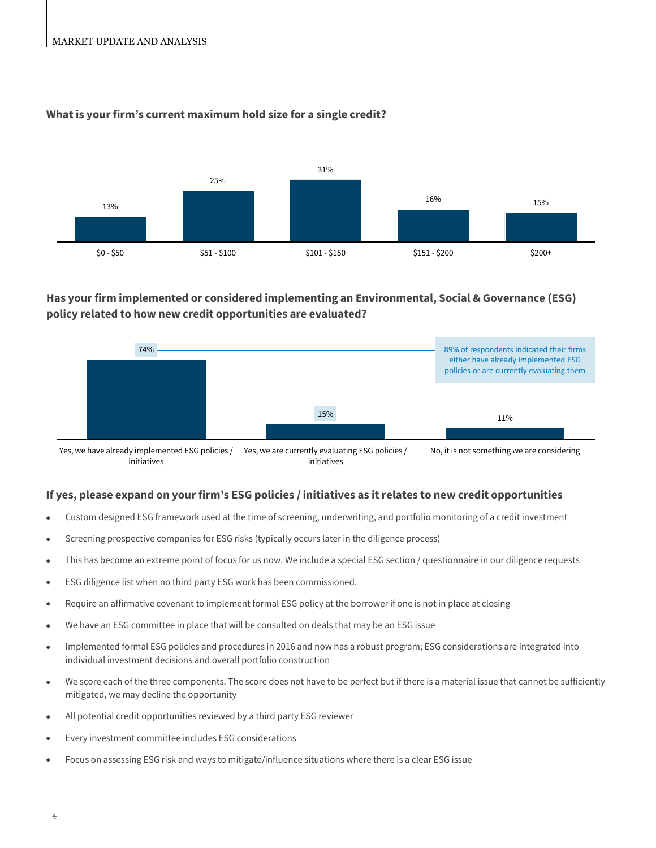#### MARKET UPDATE AND ANALYSIS



#### **What is your firm's current maximum hold size for a single credit?**

#### **Has your firm implemented or considered implementing an Environmental, Social & Governance (ESG) policy related to how new credit opportunities are evaluated?**



#### **If yes, please expand on your firm's ESG policies / initiatives as it relates to new credit opportunities**

- Custom designed ESG framework used at the time of screening, underwriting, and portfolio monitoring of a credit investment
- Screening prospective companies for ESG risks (typically occurs later in the diligence process)
- This has become an extreme point of focus for us now. We include a special ESG section / questionnaire in our diligence requests
- ESG diligence list when no third party ESG work has been commissioned.
- Require an affirmative covenant to implement formal ESG policy at the borrower if one is not in place at closing
- We have an ESG committee in place that will be consulted on deals that may be an ESG issue
- Implemented formal ESG policies and procedures in 2016 and now has a robust program; ESG considerations are integrated into individual investment decisions and overall portfolio construction
- We score each of the three components. The score does not have to be perfect but if there is a material issue that cannot be sufficiently mitigated, we may decline the opportunity
- All potential credit opportunities reviewed by a third party ESG reviewer
- Every investment committee includes ESG considerations
- Focus on assessing ESG risk and ways to mitigate/influence situations where there is a clear ESG issue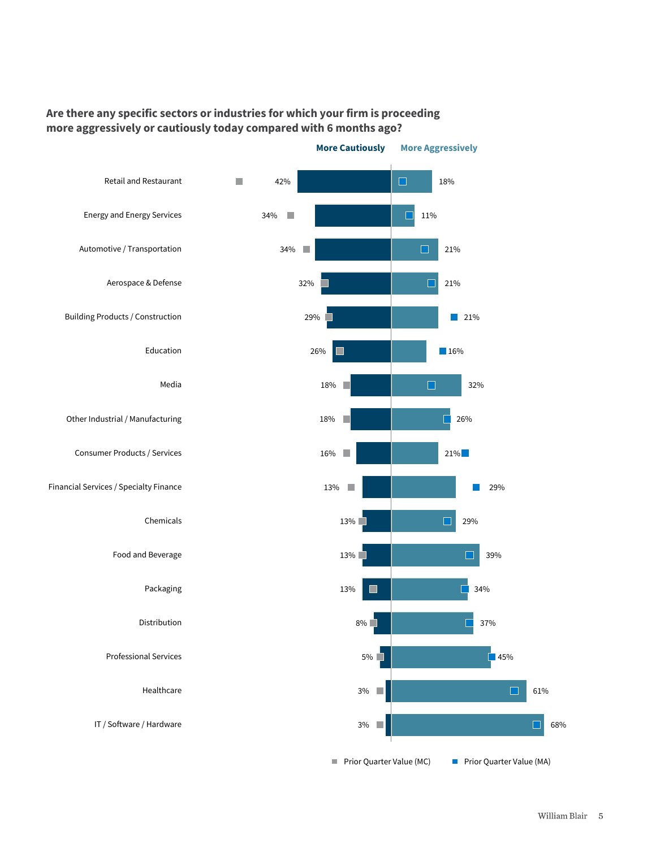#### **Are there any specific sectors or industries for which your firm is proceeding more aggressively or cautiously today compared with 6 months ago?**

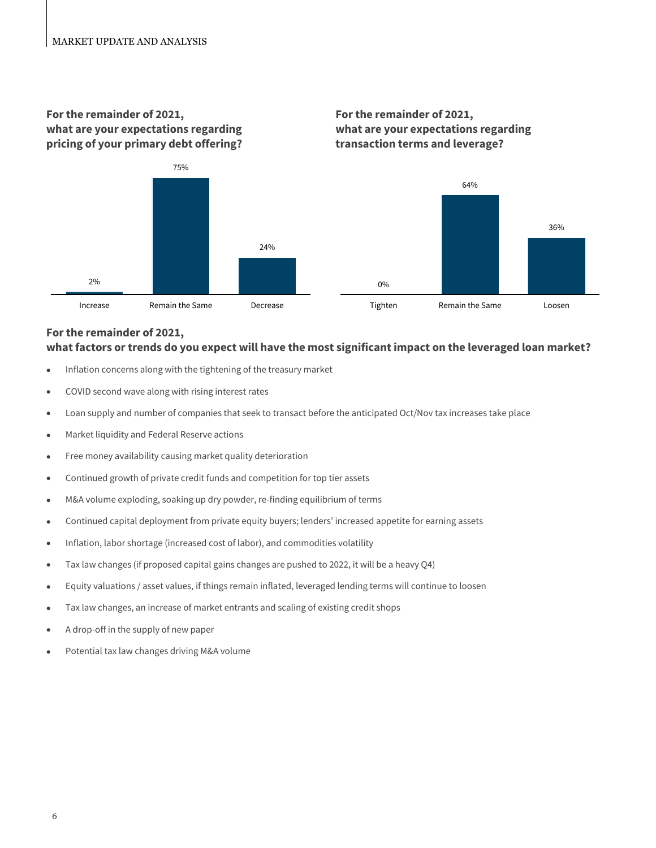#### **For the remainder of 2021, what are your expectations regarding pricing of your primary debt offering?**





### **For the remainder of 2021,**

#### **what factors or trends do you expect will have the most significant impact on the leveraged loan market?**

- Inflation concerns along with the tightening of the treasury market
- COVID second wave along with rising interest rates
- Loan supply and number of companies that seek to transact before the anticipated Oct/Nov tax increases take place
- Market liquidity and Federal Reserve actions
- Free money availability causing market quality deterioration
- Continued growth of private credit funds and competition for top tier assets
- M&A volume exploding, soaking up dry powder, re-finding equilibrium of terms
- Continued capital deployment from private equity buyers; lenders' increased appetite for earning assets
- Inflation, labor shortage (increased cost of labor), and commodities volatility
- Tax law changes (if proposed capital gains changes are pushed to 2022, it will be a heavy Q4)
- Equity valuations / asset values, if things remain inflated, leveraged lending terms will continue to loosen
- Tax law changes, an increase of market entrants and scaling of existing credit shops
- A drop-off in the supply of new paper
- Potential tax law changes driving M&A volume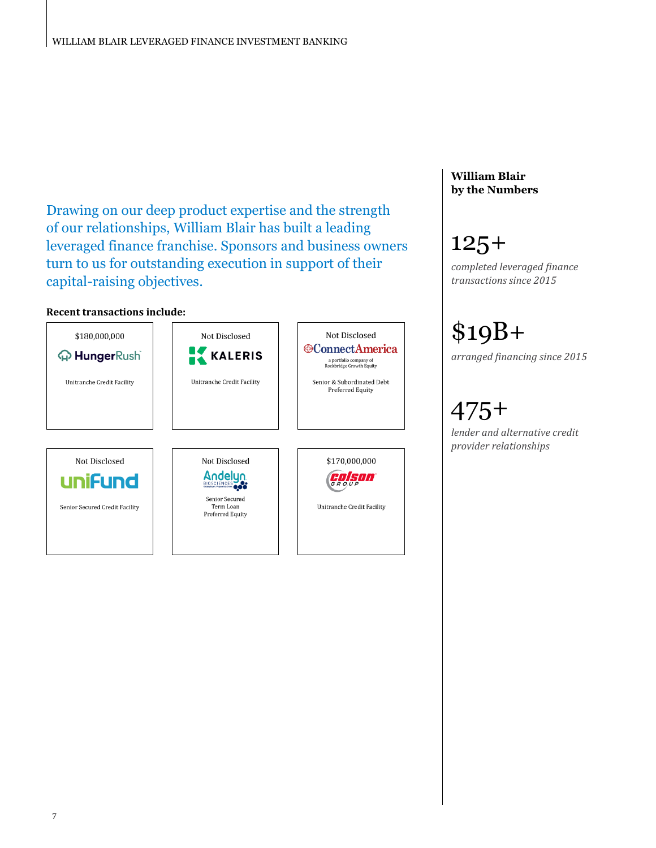Drawing on our deep product expertise and the strength of our relationships, William Blair has built a leading leveraged finance franchise. Sponsors and business owners turn to us for outstanding execution in support of their capital-raising objectives.

#### **Recent transactions include:**



#### **William Blair by the Numbers**

# 125+

*completed leveraged finance transactions since 2015*

\$19B+ *arranged financing since 2015*

# 475+

*lender and alternative credit provider relationships*